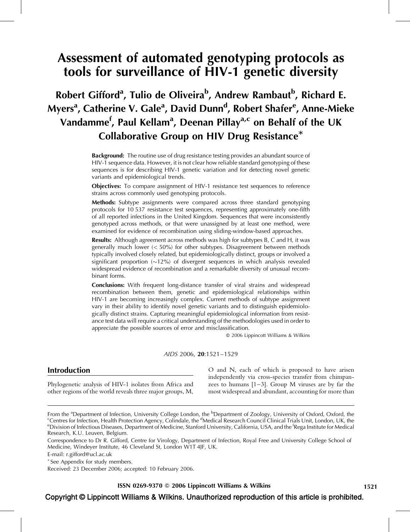# Assessment of automated genotyping protocols as tools for surveillance of HIV-1 genetic diversity

# Robert Gifford<sup>a</sup>, Tulio de Oliveira<sup>b</sup>, Andrew Rambaut<sup>b</sup>, Richard E. Myers<sup>a</sup>, Catherine V. Gale<sup>a</sup>, David Dunn<sup>d</sup>, Robert Shafer<sup>e</sup>, Anne-Mieke Vandamme<sup>f</sup>, Paul Kellam<sup>a</sup>, Deenan Pillay<sup>a,c</sup> on Behalf of the UK Collaborative Group on HIV Drug Resistance\*

Background: The routine use of drug resistance testing provides an abundant source of HIV-1 sequence data. However, it is not clear how reliable standard genotyping of these sequences is for describing HIV-1 genetic variation and for detecting novel genetic variants and epidemiological trends.

Objectives: To compare assignment of HIV-1 resistance test sequences to reference strains across commonly used genotyping protocols.

Methods: Subtype assignments were compared across three standard genotyping protocols for 10 537 resistance test sequences, representing approximately one-fifth of all reported infections in the United Kingdom. Sequences that were inconsistently genotyped across methods, or that were unassigned by at least one method, were examined for evidence of recombination using sliding-window-based approaches.

Results: Although agreement across methods was high for subtypes B, C and H, it was generally much lower (< 50%) for other subtypes. Disagreement between methods typically involved closely related, but epidemiologically distinct, groups or involved a significant proportion  $(\sim 12\%)$  of divergent sequences in which analysis revealed widespread evidence of recombination and a remarkable diversity of unusual recombinant forms.

Conclusions: With frequent long-distance transfer of viral strains and widespread recombination between them, genetic and epidemiological relationships within HIV-1 are becoming increasingly complex. Current methods of subtype assignment vary in their ability to identify novel genetic variants and to distinguish epidemiologically distinct strains. Capturing meaningful epidemiological information from resistance test data will require a critical understanding of the methodologies used in order to appreciate the possible sources of error and misclassification.

2006 Lippincott Williams & Wilkins

#### AIDS 2006, 20:1521–1529

## Introduction

Phylogenetic analysis of HIV-1 isolates from Africa and other regions of the world reveals three major groups, M,

O and N, each of which is proposed to have arisen independently via cross-species transfer from chimpanzees to humans  $[1-3]$ . Group M viruses are by far the most widespread and abundant, accounting for more than

E-mail: [r.gifford@ucl.ac.uk](mailto:r.gifford@ucl.ac.uk)

- See Appendix for study members.

Received: 23 December 2006; accepted: 10 February 2006.

 $\text{ISSN } 0269\text{-}9370 \otimes 2006$  Lippincott Williams & Wilkins 1521

## Copyright © Lippincott Williams & Wilkins. Unauthorized reproduction of this article is prohibited.

From the <sup>a</sup>Department of Infection, University College London, the <sup>b</sup>Department of Zoology, University of Oxford, Oxford, the<br>Contres for Infection, Health Protection Agency, Colindale, the <sup>d</sup>Medical Research Council Cl Centres for Infection, Health Protection Agency, Colindale, the <sup>d</sup>Medical Research Council Clinical Trials Unit, London, UK, the<br>EDivision of Infectious Diseases, Department of Medicine, Stanford University, California, U Division of Infectious Diseases, Department of Medicine, Stanford University, California, USA, and the <sup>f</sup>Rega Institute for Medical Research, K.U. Leuven, Belgium.

Correspondence to Dr R. Gifford, Centre for Virology, Department of Infection, Royal Free and University College School of Medicine, Windeyer Institute, 46 Cleveland St, London W1T 4JF, UK.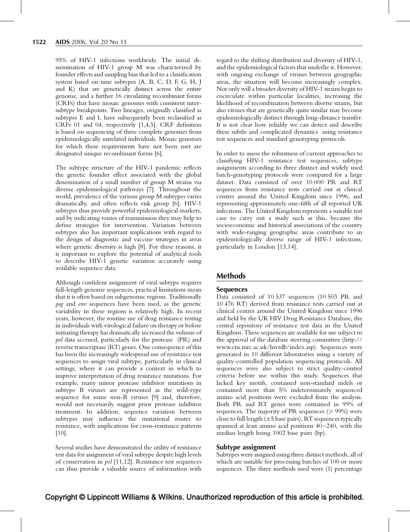95% of HIV-1 infections worldwide. The initial dissemination of HIV-1 group M was characterized by founder effects and sampling bias that led to a classification system based on nine subtypes (A, B, C, D, F, G, H, J and K) that are genetically distinct across the entire genome, and a further 16 circulating recombinant forms (CRFs) that have mosaic genomes with consistent intersubtype breakpoints. Two lineages, originally classified as subtypes E and I, have subsequently been reclassified as CRFs 01 and 04, respectively [\[1,4,5\]](#page-7-0). CRF definition is based on sequencing of three complete genomes from epidemiologically unrelated individuals. Mosaic genomes for which these requirements have not been met are designated unique recombinant forms [\[6\]](#page-7-0).

The subtype structure of the HIV-1 pandemic reflects the genetic founder effect associated with the global dissemination of a small number of group M strains via diverse epidemiological pathways [\[7\].](#page-7-0) Throughout the world, prevalence of the various group M subtypes varies dramatically, and often reflects risk group [\[6\].](#page-7-0) HIV-1 subtypes thus provide powerful epidemiological markers, and by indicating routes of transmission they may help to define strategies for intervention. Variation between subtypes also has important implications with regard to the design of diagnostic and vaccine strategies in areas where genetic diversity is high [\[8\]](#page-7-0). For these reasons, it is important to explore the potential of analytical tools to describe HIV-1 genetic variation accurately using available sequence data.

Although confident assignment of viral subtype requires full-length genome sequences, practical limitations mean that it is often based on subgenomic regions. Traditionally gag and env sequences have been used, as the genetic variability in these regions is relatively high. In recent years, however, the routine use of drug resistance testing in individuals with virological failure on therapy or before initiating therapy has dramatically increased the volume of pol data accrued, particularly for the protease (PR) and reverse transcriptase (RT) genes. One consequence of this has been the increasingly widespread use of resistance test sequences to assign viral subtype, particularly in clinical settings, where it can provide a context in which to improve interpretation of drug resistance mutations. For example, many minor protease inhibitor mutations in subtype B viruses are represented as the wild-type sequence for some non-B viruses [\[9\]](#page-7-0) and, therefore, would not necessarily suggest prior protease inhibitor treatment. In addition, sequence variation between subtypes may influence the mutational routes to resistance, with implications for cross-resistance patterns [\[10\]](#page-7-0).

Several studies have demonstrated the utility of resistance test data for assignment of viral subtype despite high levels of conservation in pol [\[11,12\]](#page-7-0). Resistance test sequences can thus provide a valuable source of information with regard to the shifting distribution and diversity of HIV-1, and the epidemiological factors that underlie it. However, with ongoing exchange of viruses between geographic areas, the situation will become increasingly complex. Not only will a broader diversity of HIV-1 strains begin to cocirculate within particular localities, increasing the likelihood of recombination between diverse strains, but also viruses that are genetically quite similar may become epidemiologically distinct through long-distance transfer. It is not clear how reliably we can detect and describe these subtle and complicated dynamics using resistance test sequences and standard genotyping protocols.

In order to assess the robustness of current approaches to classifying HIV-1 resistance test sequences, subtype assignments according to three distinct and widely used batch-genotyping protocols were compared for a large dataset. Data consisted of over 10 000 PR and RT sequences from resistance tests carried out at clinical centres around the United Kingdom since 1996, and representing approximately one-fifth of all reported UK infections. The United Kingdom represents a suitable test case to carry out a study such as this, because the socioeconomic and historical associations of the country with wide-ranging geographic areas contribute to an epidemiologically diverse range of HIV-1 infections, particularly in London [\[13,14\].](#page-7-0)

## Methods

#### **Sequences**

Data consisted of 10 537 sequences (10 503 PR and 10 476 RT) derived from resistance tests carried out at clinical centres around the United Kingdom since 1996 and held by the UK HIV Drug Resistance Database, the central repository of resistance test data in the United Kingdom. These sequences are available for use subject to the approval of the database steering committee ([http://](mailto:r.gifford@ucl.ac.uk) [www.ctu.mrc.ac.uk/hivrdb/index.asp](mailto:r.gifford@ucl.ac.uk)). Sequences were generated in 10 different laboratories using a variety of quality-controlled population sequencing protocols. All sequences were also subject to strict quality-control criteria before use within this study. Sequences that lacked key motifs, contained non-standard indels or contained more than 5% indeterminately sequenced amino acid positions were excluded from the analysis. Both PR and RT genes were contained in 99% of sequences. The majority of PR sequences  $(> 99\%)$  were close to full length  $(\pm 5$  base pairs), RT sequences typically spanned at least amino acid positions 40–240, with the median length being 1002 base pairs (bp).

#### Subtype assignment

Subtypes were assigned using three distinct methods, all of which are suitable for processing batches of 100 or more sequences. The three methods used were (1) percentage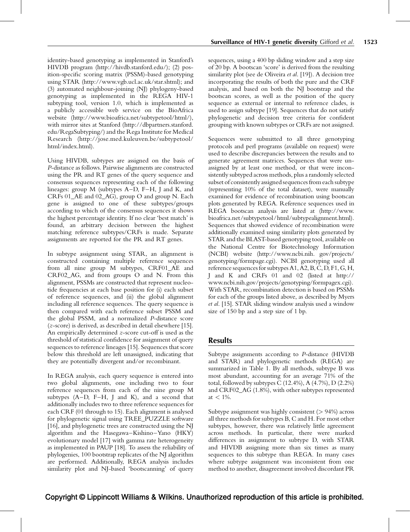identity-based genotyping as implemented in Stanford's HIVDB program [\(http://hivdb.stanford.edu/](http://hivdb.stanford.edu/)); (2) position-specific scoring matrix (PSSM)-based genotyping using STAR (<http://www.vgb.ucl.ac.uk/star.shtml>); and (3) automated neighbour-joining (NJ) phylogeny-based genotyping as implemented in the REGA HIV-1 subtyping tool, version 1.0, which is implemented as a publicly accessible web service on the BioAfrica website [\(http://www.bioafrica.net/subtypetool/html/](http://www.bioafrica.net/subtypetool/html/)), with mirror sites at Stanford [\(http://dbpartners.stanford.](http://dbpartners.stanford.edu/RegaSubtyping/) [edu/RegaSubtyping/\)](http://dbpartners.stanford.edu/RegaSubtyping/) and the Rega Institute for Medical Research ([http://jose.med.kuleuven.be/subtypetool/](http://jose.med.kuleuven.be/subtypetool/html/index.html) [html/index.html\)](http://jose.med.kuleuven.be/subtypetool/html/index.html).

Using HIVDB, subtypes are assigned on the basis of P-distance as follows. Pairwise alignments are constructed using the PR and RT genes of the query sequence and consensus sequences representing each of the following lineages: group M (subtypes A–D, F–H, J and K, and CRFs 01\_AE and 02\_AG), group O and group N. Each gene is assigned to one of these subtypes/groups according to which of the consensus sequences it shows the highest percentage identity. If no clear 'best match' is found, an arbitrary decision between the highest matching reference subtypes/CRFs is made. Separate assignments are reported for the PR and RT genes.

In subtype assignment using STAR, an alignment is constructed containing multiple reference sequences from all nine group M subtypes, CRF01\_AE and CRF02\_AG, and from groups O and N. From this alignment, PSSMs are constructed that represent nucleotide frequencies at each base position for (i) each subset of reference sequences, and (ii) the global alignment including all reference sequences. The query sequence is then compared with each reference subset PSSM and the global PSSM, and a normalized P-distance score (z-score) is derived, as described in detail elsewhere [\[15\]](#page-7-0). An empirically determined z-score cut-off is used as the threshold of statistical confidence for assignment of query sequences to reference lineages [\[15\]](#page-7-0). Sequences that score below this threshold are left unassigned, indicating that they are potentially divergent and/or recombinant.

In REGA analysis, each query sequence is entered into two global alignments, one including two to four reference sequences from each of the nine group M subtypes (A–D, F–H, J and K), and a second that additionally includes two to three reference sequences for each CRF (01 through to 15). Each alignment is analysed for phylogenetic signal using TREE\_PUZZLE software [\[16\]](#page-7-0), and phylogenetic trees are constructed using the NJ algorithm and the Hasegawa–Kishino–Yano (HKY) evolutionary model [\[17\]](#page-7-0) with gamma rate heterogeneity as implemented in PAUP [\[18\].](#page-7-0) To assess the reliability of phylogenies, 100 bootstrap replicates of the NJ algorithm are performed. Additionally, REGA analysis includes similarity plot and NJ-based 'bootscanning' of query

sequences, using a 400 bp sliding window and a step size of 20 bp. A bootscan 'score' is derived from the resulting similarity plot (see de Oliveira et al. [\[19\]\)](#page-7-0). A decision tree incorporating the results of both the pure and the CRF analysis, and based on both the NJ bootstrap and the bootscan scores, as well as the position of the query sequence as external or internal to reference clades, is used to assign subtype [\[19\].](#page-7-0) Sequences that do not satisfy phylogenetic and decision tree criteria for confident grouping with known subtypes or CRFs are not assigned.

Sequences were submitted to all three genotyping protocols and perl programs (available on request) were used to describe discrepancies between the results and to generate agreement matrices. Sequences that were unassigned by at least one method, or that were inconsistently subtyped across methods, plus a randomly selected subset of consistentlyassigned sequences from each subtype (representing 10% of the total dataset), were manually examined for evidence of recombination using bootscan plots generated by REGA. Reference sequences used in REGA bootscan analysis are listed at ([http://www.](http://www.bioafrica.net/subtypetool/html/subtypealignment.html) [bioafrica.net/subtypetool/html/subtypealignment.html](http://www.bioafrica.net/subtypetool/html/subtypealignment.html)). Sequences that showed evidence of recombination were additionally examined using similarity plots generated by STAR and the BLAST-based genotyping tool, available on the National Centre for Biotechnology Information (NCBI) website [\(http://www.ncbi.nih. gov/projects/](http://www.ncbi.nih.gov/projects/genotyping/formpage.cgi) [genotyping/formpage.cgi](http://www.ncbi.nih.gov/projects/genotyping/formpage.cgi)). NCBI genotyping used all reference sequences for subtypes A1, A2, B, C, D, F1, G, H, J and K and CRFs 01 and 02 (listed at [http://](http://www.ncbi.nih.gov/projects/genotyping/formpagex.cgi) [www.ncbi.nih.gov/projects/genotyping/formpagex.cgi\)](http://www.ncbi.nih.gov/projects/genotyping/formpagex.cgi). With STAR, recombination detection is based on PSSMs for each of the groups listed above, as described by Myers et al. [\[15\].](#page-7-0) STAR sliding window analysis used a window size of 150 bp and a step size of 1 bp.

## Results

Subtype assignments according to P-distance (HIVDB and STAR) and phylogenetic methods (REGA) are summarized in [Table 1.](#page-3-0) By all methods, subtype B was most abundant, accounting for an average 71% of the total, followed by subtypes C  $(12.4\%), A (4.7\%), D (2.2\%)$ and CRF02\_AG (1.8%), with other subtypes represented at  $< 1\%$ .

Subtype assignment was highly consistent (> 94%) across all three methods for subtypes B, C and H. For most other subtypes, however, there was relatively little agreement across methods. In particular, there were marked differences in assignment to subtype D, with STAR and HIVDB assigning more than six times as many sequences to this subtype than REGA. In many cases where subtype assignment was inconsistent from one method to another, disagreement involved discordant PR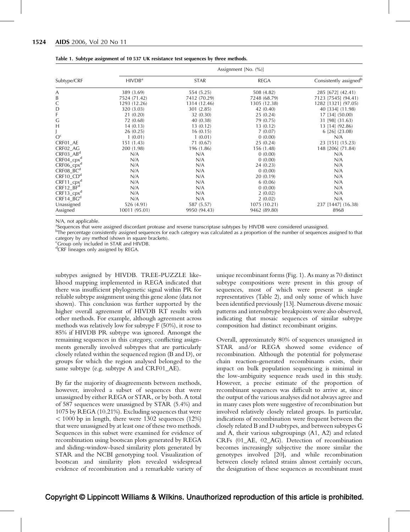|                                    | Assignment [No. (%)] |              |              |                                    |  |  |  |
|------------------------------------|----------------------|--------------|--------------|------------------------------------|--|--|--|
| Subtype/CRF                        | HIVDB <sup>a</sup>   | <b>STAR</b>  | <b>REGA</b>  | Consistently assigned <sup>b</sup> |  |  |  |
| А                                  | 389 (3.69)           | 554 (5.25)   | 508 (4.82)   | 285 [672] (42.41)                  |  |  |  |
| B                                  | 7524 (71.42)         | 7412 (70.29) | 7248 (68.79) | 7123 [7545] (94.41)                |  |  |  |
| C                                  | 1293 (12.26)         | 1314 (12.46) | 1305 (12.38) | 1282 [1321] (97.05)                |  |  |  |
| D                                  | 320 (3.03)           | 301 (2.85)   | 42 (0.40)    | 40 [334] (11.98)                   |  |  |  |
| F                                  | 21 (0.20)            | 32 (0.30)    | 25(0.24)     | 17 [34] (50.00)                    |  |  |  |
| G                                  | 72 (0.68)            | 40(0.38)     | 79 (0.75)    | 31 [98] (31.63)                    |  |  |  |
| Н                                  | 14(0.13)             | 13(0.12)     | 13(0.12)     | 13 [14] (92.86)                    |  |  |  |
|                                    | 26(0.25)             | 16(0.15)     | 7(0.07)      | $6$ [26] $(23.08)$                 |  |  |  |
| O <sub>c</sub>                     | 1(0.01)              | 1(0.01)      | 0(0.00)      | N/A                                |  |  |  |
| CRF01_AE                           | 151 (1.43)           | 71(0.67)     | 25(0.24)     | 23 [151] (15.23)                   |  |  |  |
| CRF02_AG                           | 200 (1.98)           | 196 (1.86)   | 156 (1.48)   | 148 [206] (71.84)                  |  |  |  |
| $CRF03$ _AB <sup>d</sup>           | N/A                  | N/A          | 0(0.00)      | N/A                                |  |  |  |
| $CRF04_cpx^d$                      | N/A                  | N/A          | 0(0.00)      | N/A                                |  |  |  |
| $CRF06$ _ $cpxd$                   | N/A                  | N/A          | 24(0.23)     | N/A                                |  |  |  |
| $CRF08$ <sub>BC</sub> <sup>d</sup> | N/A                  | N/A          | 0(0.00)      | N/A                                |  |  |  |
| $CRF10$ <sub>CD<sup>d</sup></sub>  | N/A                  | N/A          | 20(0.19)     | N/A                                |  |  |  |
| $CRF11_cpx^d$                      | N/A                  | N/A          | 6(0.06)      | N/A                                |  |  |  |
| $CRF12$ _ $BFd$                    | N/A                  | N/A          | 0(0.00)      | N/A                                |  |  |  |
| $CRF13_cpx^d$                      | N/A                  | N/A          | 2(0.02)      | N/A                                |  |  |  |
| $CRF14_BG^d$                       | N/A                  | N/A          | 2(0.02)      | N/A                                |  |  |  |
| Unassigned                         | 526 (4.91)           | 587 (5.57)   | 1075 (10.21) | 237 [1447] (16.38)                 |  |  |  |
| Assigned                           | 10011 (95.01)        | 9950 (94.43) | 9462 (89.80) | 8968                               |  |  |  |

<span id="page-3-0"></span>

|  |  |  |  |  | Table 1. Subtype assignment of 10 537 UK resistance test sequences by three methods. |
|--|--|--|--|--|--------------------------------------------------------------------------------------|
|  |  |  |  |  |                                                                                      |

N/A, not applicable.

<sup>a</sup>Sequences that were assigned discordant protease and reverse transcriptase subtypes by HIVDB were considered unassigned.

<sup>b</sup>The percentage consistently assigned sequences for each category was calculated as a proportion of the number of sequences assigned to that category by any method (shown in square brackets).

Group only included in STAR and HIVDB. <sup>d</sup>CRF lineages only assigned by REGA.

subtypes assigned by HIVDB. TREE-PUZZLE likelihood mapping implemented in REGA indicated that there was insufficient phylogenetic signal within PR for reliable subtype assignment using this gene alone (data not shown). This conclusion was further supported by the higher overall agreement of HIVDB RT results with other methods. For example, although agreement across methods was relatively low for subtype F (50%), it rose to 85% if HIVDB PR subtype was ignored. Amongst the remaining sequences in this category, conflicting assignments generally involved subtypes that are particularly closely related within the sequenced region (B and D), or groups for which the region analysed belonged to the same subtype (e.g. subtype A and CRF01 AE).

By far the majority of disagreements between methods, however, involved a subset of sequences that were unassigned by either REGA or STAR, or by both. A total of 587 sequences were unassigned by STAR (5.4%) and 1075 by REGA (10.21%). Excluding sequences that were  $<$  1000 bp in length, there were 1302 sequences (12%) that were unassigned by at least one of these two methods. Sequences in this subset were examined for evidence of recombination using bootscan plots generated by REGA and sliding-window-based similarity plots generated by STAR and the NCBI genotyping tool. Visualization of bootscan and similarity plots revealed widespread evidence of recombination and a remarkable variety of unique recombinant forms ([Fig. 1\)](#page-4-0). As many as 70 distinct subtype compositions were present in this group of sequences, most of which were present as single representatives [\(Table 2](#page-5-0)), and only some of which have been identified previously [\[13\].](#page-7-0) Numerous diverse mosaic patterns and intersubtype breakpoints were also observed, indicating that mosaic sequences of similar subtype composition had distinct recombinant origins.

Overall, approximately 80% of sequences unassigned in STAR and/or REGA showed some evidence of recombination. Although the potential for polymerase chain reaction-generated recombinants exists, their impact on bulk population sequencing is minimal in the low-ambiguity sequence reads used in this study. However, a precise estimate of the proportion of recombinant sequences was difficult to arrive at, since the output of the various analyses did not always agree and in many cases plots were suggestive of recombination but involved relatively closely related groups. In particular, indications of recombination were frequent between the closely related B and D subtypes, and between subtypes G and A, their various subgroupings (A1, A2) and related CRFs (01\_AE, 02\_AG). Detection of recombination becomes increasingly subjective the more similar the genotypes involved [\[20\]](#page-7-0), and while recombination between closely related strains almost certainly occurs, the designation of these sequences as recombinant must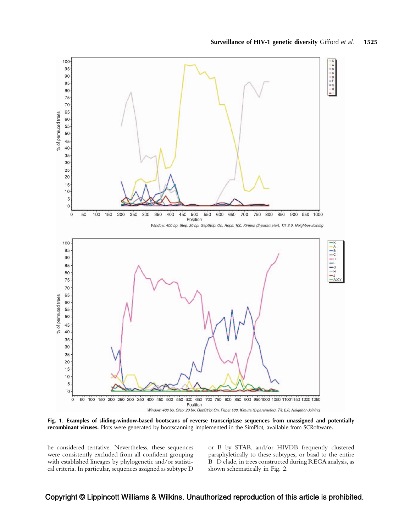<span id="page-4-0"></span>

Fig. 1. Examples of sliding-window-based bootscans of reverse transcriptase sequences from unassigned and potentially recombinant viruses. Plots were generated by bootscanning implemented in the SimPlot, available from SCRoftware.

be considered tentative. Nevertheless, these sequences were consistently excluded from all confident grouping with established lineages by phylogenetic and/or statistical criteria. In particular, sequences assigned as subtype D

or B by STAR and/or HIVDB frequently clustered paraphyletically to these subtypes, or basal to the entire B–D clade, in trees constructed during REGA analysis, as shown schematically in [Fig. 2](#page-6-0).

## Copyright © Lippincott Williams & Wilkins. Unauthorized reproduction of this article is prohibited.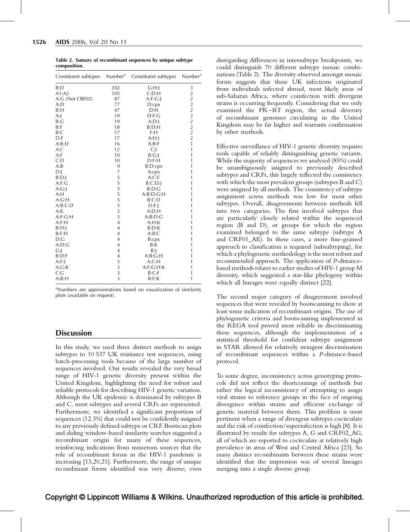<span id="page-5-0"></span>Table 2. Sumary of recombinant sequences by unique subtype composition.

| Constituent subtypes | Number <sup>a</sup>                        | Constituent subtypes | Number <sup>a</sup> |
|----------------------|--------------------------------------------|----------------------|---------------------|
| B:D                  | 202                                        | G: H:                | 3                   |
| A1: A2               | 105                                        | C:D:H                |                     |
| A:G (Not CRF02)      | 87                                         | A: F: G:             | 22222222            |
| A:D                  | 77                                         | D:cpx                |                     |
| B:H                  | 47                                         | D: H                 |                     |
| A:                   | 19                                         | D: F: G              |                     |
| B:G                  | 19                                         | A:D:J                |                     |
| B: F                 | 18                                         | B:D:H                |                     |
| B:C                  | 17                                         | F:H                  |                     |
| D: F                 | 17                                         | A: H:                |                     |
| A:B:D                | 16                                         | A:B:F                | $\mathbf{1}$        |
| A: C                 | 12                                         | C:                   | $\mathbf{1}$        |
| A: F                 | 10                                         | B:G:                 | 1                   |
| C: D                 | 10                                         | D: F: H              | 1                   |
| A:B                  | 9                                          | B:D:cpx              | 1                   |
| D:                   | 7                                          | A:cpx                | 1                   |
| B:D:                 |                                            | A:C:F                | 1                   |
| A: F: G              | 55555555                                   | $B:C:D$ :            | 1                   |
| A:G:                 |                                            | B:D:G                | 1                   |
| A:H                  |                                            | A:B:D:G:H            | 1                   |
| A:G:H                |                                            | B: C: D              | 1                   |
| A:B:C:D              |                                            | D: F:                | 1                   |
| A:K                  |                                            | A:D:H                | 1                   |
| A: F: G:H            |                                            | A:B:D:G              | 1                   |
| A: F:H               | $\overline{4}$                             | A:H:K                | 1                   |
| B: H:                | $\overline{4}$                             | B:D:K                | 1                   |
| B: F:H               | $\overline{4}$                             | A:B:C                | 1                   |
| D:G                  | $\overline{4}$                             | B:cpx                | 1                   |
| A:D:G                | 4                                          | B:K                  | 1                   |
| G:                   | $\overline{4}$                             | B:J                  | 1                   |
| B:D:F                | $\overline{4}$                             | A:B:G:H              | 1                   |
| A: F:                | 3                                          | A: C:H               | 1                   |
| A:G:K                |                                            | A:F:G:H:K            | 1                   |
| C:G                  | $\begin{array}{c} 3 \\ 3 \\ 3 \end{array}$ | B:C:F                | 1                   |
| A:B:H                |                                            | B: F: K              | 1                   |

<sup>a</sup>Numbers are approximations based on visualization of similarity plots (available on request).

## **Discussion**

In this study, we used three distinct methods to assign subtypes to 10 537 UK resistance test sequences, using batch-processing tools because of the large number of sequences involved. Our results revealed the very broad range of HIV-1 genetic diversity present within the United Kingdom, highlighting the need for robust and reliable protocols for describing HIV-1 genetic variation. Although the UK epidemic is dominated by subtypes B and C, most subtypes and several CRFs are represented. Furthermore, we identified a significant proportion of sequences (12.3%) that could not be confidently assigned to any previously defined subtype or CRF. Bootscan plots and sliding window-based similarity searches suggested a recombinant origin for many of these sequences, reinforcing indications from numerous sources that the role of recombinant forms in the HIV-1 pandemic is increasing [\[13,20,21\]](#page-7-0). Furthermore, the range of unique recombinant forms identified was very diverse; even

disregarding differences in intersubtype breakpoints, we could distinguish 70 different subtype mosaic combinations (Table 2). The diversity observed amongst mosaic forms suggests that these UK infections originated from individuals infected abroad, most likely areas of sub-Saharan Africa, where coinfection with divergent strains is occurring frequently. Considering that we only examined the PR–RT region, the actual diversity of recombinant genomes circulating in the United Kingdom may be far higher and warrants confirmation by other methods.

Effective surveillance of HIV-1 genetic diversity requires tools capable of reliably distinguishing genetic variants. While the majority of sequences we analysed (85%) could be unambiguously assigned to previously described subtypes and CRFs, this largely reflected the consistency with which the most prevalent groups (subtypes B and C) were assigned by all methods. The consistency of subtype assignment across methods was low for most other subtypes. Overall, disagreements between methods fell into two categories. The first involved subtypes that are particularly closely related within the sequenced region (B and D), or groups for which the region examined belonged to the same subtype (subtype A and CRF01\_AE). In these cases, a more fine-grained approach to classification is required (subsubtyping), for which a phylogenetic methodology is the most robust and recommended approach. The application of P-distancebased methods relates to earlier studies of HIV-1 group M diversity, which suggested a star-like phylogeny within which all lineages were equally distinct [\[22\]](#page-7-0).

The second major category of disagreement involved sequences that were revealed by bootscanning to show at least some indication of recombinant origins. The use of phylogenetic criteria and bootscanning implemented in the REGA tool proved most reliable in discriminating these sequences, although the implementation of a statistical threshold for confident subtype assignment in STAR allowed for relatively stringent discrimination of recombinant sequences within a P-distance-based protocol.

To some degree, inconsistency across genotyping protocols did not reflect the shortcomings of methods but rather the logical inconsistency of attempting to assign viral strains to reference groups in the face of ongoing divergence within strains and efficient exchange of genetic material between them. This problem is most pertinent when a range of divergent subtypes cocirculate and the risk of coinfection/superinfection is high [\[8\]](#page-7-0). It is illustrated by results for subtypes A, G and CRF02\_AG, all of which are reported to cocirculate at relatively high prevalence in areas of West and Central Africa [\[23\].](#page-7-0) So many distinct recombinants between these strains were identified that the impression was of several lineages merging into a single diverse group.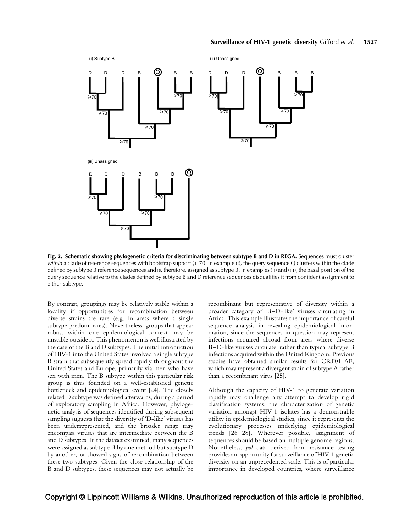<span id="page-6-0"></span>

Fig. 2. Schematic showing phylogenetic criteria for discriminating between subtype B and D in REGA. Sequences must cluster within a clade of reference sequences with bootstrap support  $\geq$  70. In example (i), the query sequence Q clusters within the clade defined by subtype B reference sequences and is, therefore, assigned as subtype B. In examples (ii) and (iii), the basal position of the query sequence relative to the clades defined by subtype B and D reference sequences disqualifies it from confident assignment to either subtype.

By contrast, groupings may be relatively stable within a locality if opportunities for recombination between diverse strains are rare (e.g. in areas where a single subtype predominates). Nevertheless, groups that appear robust within one epidemiological context may be unstable outside it. This phenomenon is well illustrated by the case of the B and D subtypes. The initial introduction of HIV-1 into the United States involved a single subtype B strain that subsequently spread rapidly throughout the United States and Europe, primarily via men who have sex with men. The B subtype within this particular risk group is thus founded on a well-established genetic bottleneck and epidemiological event [\[24\].](#page-7-0) The closely related D subtype was defined afterwards, during a period of exploratory sampling in Africa. However, phylogenetic analysis of sequences identified during subsequent sampling suggests that the diversity of 'D-like' viruses has been underrepresented, and the broader range may encompass viruses that are intermediate between the B and D subtypes. In the dataset examined, many sequences were assigned as subtype B by one method but subtype D by another, or showed signs of recombination between these two subtypes. Given the close relationship of the B and D subtypes, these sequences may not actually be

recombinant but representative of diversity within a broader category of 'B–D-like' viruses circulating in Africa. This example illustrates the importance of careful sequence analysis in revealing epidemiological information, since the sequences in question may represent infections acquired abroad from areas where diverse B–D-like viruses circulate, rather than typical subtype B infections acquired within the United Kingdom. Previous studies have obtained similar results for CRF01\_AE, which may represent a divergent strain of subtype A rather than a recombinant virus [\[25\].](#page-7-0)

Although the capacity of HIV-1 to generate variation rapidly may challenge any attempt to develop rigid classification systems, the characterization of genetic variation amongst HIV-1 isolates has a demonstrable utility in epidemiological studies, since it represents the evolutionary processes underlying epidemiological trends [\[26–28\]](#page-7-0). Wherever possible, assignment of sequences should be based on multiple genome regions. Nonetheless, pol data derived from resistance testing provides an opportunity for surveillance of HIV-1 genetic diversity on an unprecedented scale. This is of particular importance in developed countries, where surveillance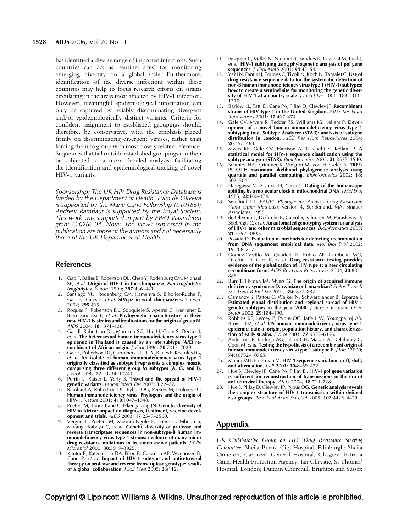<span id="page-7-0"></span>has identified a diverse range of imported infections. Such countries can act as 'sentinel sites' for monitoring emerging diversity on a global scale. Furthermore, identification of the diverse infections within these countries may help to focus research efforts on strains circulating in the areas most affected by HIV-1 infection. However, meaningful epidemiological information can only be captured by reliably discriminating divergent and/or epidemiologically distinct variants. Criteria for confident assignment to established groupings should, therefore, be conservative, with the emphasis placed firmly on discriminating divergent viruses, rather than forcing them to group with most closely related reference. Sequences that fall outside established groupings can then be subjected to a more detailed analysis, facilitating the identification and epidemiological tracking of novel HIV-1 variants.

Sponsorship: The UK HIV Drug Resistance Database is funded by the Department of Health. Tulio de Oliveira is supported by the Marie Curie Fellowship (010186); Andrew Rambaut is supported by the Royal Society. This work was supported in part by FWO-Viaanderen grant G.0266.04. Note: The views expressed in the publication are those of the authors and not necessarily those of the UK Department of Health.

#### References

- 1. Gao F, Bailes E, Robertson DL, Chen Y, Rodenburg CM, Michael SF, et al. Origin of HIV-1 in the chimpanzee Pan troglodytes troglodytes. Nature 1999; 397:436–441.
- Santiago ML, Rodenburg CM, Kamenya S, Bibollet-Ruche F, Gao F, Bailes E, et al. SIVcpz in wild chimpanzees. Science 2002; 295:465.
- 3. Roques P, Robertson DL, Souquiere S, Apetrei C, Nerrienet E, Barre-Sinoussi F, et al. Phylogenetic characteristics of three new HIV-1 N strains and implications for the origin of group N. AIDS 2004; 18:1371–1381.
- 4. Gao F, Robertson DL, Morrison SG, Hui H, Craig S, Decker J, et al. The heterosexual human immunodeficiency virus type 1 epidemic in Thailand is caused by an intersubtype (A/E) recombinant of African origin. / Virol 1996; 70:7013-7029.
- 5. Gao F, Robertson DL, Carruthers CD, Li Y, Bailes E, Kostrikis LG, et al. An isolate of human immunodeficiency virus type 1 originally classified as subtype I represents a complex mosaic comprising three different group M subtypes (A, G, and I). J Virol 1998; 72:10234–10241.
- 6. Perrin L, Kaiser L, Yerly S. Travel and the spread of HIV-1 genetic variants. Lancet Infect Dis 2003; 3:22-27.
- 7. Rambaut A, Robertson DL, Pybus OG, Peeters M, Holmes EC. Human immunodeficiency virus. Phylogeny and the origin of HIV-1. Nature 2001; 410:1047-1048.
- Peeters M, Toure-Kane C, Nkengasong JN. Genetic diversity of HIV in Africa: impact on diagnosis, treatment, vaccine development and trials. AIDS 2003; 17:2547–2560.
- Vergne L, Peeters M, Mpoudi-Ngole E, Toure C, Mboup S, Mulanga-Kabeya C, et al. Genetic diversity of protease and reverse transcriptase sequences in non-subtype-B human immunodeficiency virus type 1 strains: evidence of many minor drug resistance mutations in treatment-naive patients. J Clin Microbiol 2000; 38:3919–3925.
- 10. Kantor R, Katzenstein DA, Efron B, Carvalho AP, Wynhoven B, Cane P, et al. Impact of HIV-1 subtype and antiretroviral therapy on protease and reverse transcriptase genotype: results of a global collaboration. PLoS Med 2005; 2:e112.
- 11. Pasquier C, Millot N, Njouom R, Sandres K, Cazabat M, Puel J, et al. HIV-1 subtyping using phylogenetic analysis of pol gene sequences. / Virol Meth 2001; 94:45-54.
- 12. Yahi N, Fantini J, Tourres C, Tivoli N, Koch N, Tamalet C. Use of drug resistance sequence data for the systematic detection of non-B human immunodeficiency virus type 1 (HIV-1) subtypes: how to create a sentinel site for monitoring the genetic diversity of HIV-1 at a country scale. *J Infect Dis* 2001; 183:1311– 1317.
- 13. Barlow KL, Tatt ID, Cane PA, Pillay D, Clewley JP. **Recombinant** strains of HIV type 1 in the United Kingdom. AIDS Res Hum Retroviruses 2001; 17:467–474.
- 14. Gale CV, Myers R, Tedder RS, Williams IG, Kellam P. Development of a novel human immunodeficiency virus type 1 subtyping tool, Subtype Analyzer (STAR): analysis of subtype distribution in London. AIDS Res Hum Retroviruses 2004; 20:457–464.
- 15. Myers RE, Gale CV, Harrison A, Takeuchi Y, Kellam P. A statistical model for HIV-1 sequence classification using the subtype analyser (STAR). Bioinformatics 2005; 21:3535-3540.
- 16. Schmidt HA, Strimmer K, Vingron M, von Haeseler A. TREE-PUZZLE: maximum likelihood phylogenetic analysis using quartets and parallel computing. Bioinformatics 2002; 18: 502–504.
- 17. Hasegawa M, Kishino H, Yano T. Dating of the human-ape splitting by a molecular clock of mitochondrial DNA. J Mol Evol 1985; 22:160–174.
- 18. Swofford DL. PAUP\*. Phylogenetic Analysis using Parsimony (\*and Other Methods), version 4. Sunderland, MA: Sinauer Associates; 1998.
- 19. de Oliveira T, Deforche K, Cassol S, Salminen M, Paraskevis D, Seebregts C, et al. An automated genotyping system for analysis of HIV-1 and other microbial sequences. Bioinformatics 2005; 21:3797–3800.
- 20. Posada D. Evaluation of methods for detecting recombination from DNA sequences: empirical data. Mol Biol Evol 2002; 19:708–717.
- 21. Gomez-Carrillo M, Quarleri JF, Rubio AE, Carobene MG, Dilernia D, Carr JK, et al. Drug resistance testing provides evidence of the globalization of HIV type 1: a new circulating recombinant form. AIDS Res Hum Retroviruses 2004; 20:885– 888.
- 22. Burr T, Hyman JM, Myers G. The origin of acquired immune deficiency syndrome: Darwinian or Lamarckian? Philos Trans R Soc Lond<sup>'</sup> B<sup>'</sup>Biol Sci 2001; **356**:877–887.
- 23. Osmanov S, Pattou C, Walker N, Schwardlander B, Esparza J. Estimated global distribution and regional spread of HIV-1 genetic subtypes in the year 2000. J Acquir Immune Defic Syndr 2002; 29:184–190.
- 24. Robbins KE, Lemey P, Pybus OG, Jaffe HW, Youngpairoj AS, Brown TM, et al. **US human immunodeficiency virus type 1** epidemic: date of origin, population history, and characterization of early strains. J Virol 2003; 77:6359-6366.
- 25. Anderson JP, Rodrigo AG, Learn GH, Madan A, Delahunty C, Coon M, et al. Testing the hypothesis of a recombinant origin of human immunodeficiency virus type 1 subtype E. / Virol 2000; 74:10752–10765.
- 26. Malim MH, Emerman M. HIV-1 sequence variation: drift, shift, and attenuation. Cell 2001; 104:469–472.
- 27. Hue S, Clewley JP, Cane PA, Pillay D. HIV-1 pol gene variation is sufficient for reconstruction of transmissions in the era of antiretroviral therapy. AIDS 2004; 18:719–728.
- 28. Hue S, Pillay D, Clewley JP, Pybus OG. Genetic analysis reveals the complex structure of HIV-1 transmission within defined risk groups. Proc Natl Acad Sci USA 2005; 102:4425-4429.

## Appendix

UK Collaborative Group on HIV Drug Resistance Steering Committee: Sheila Burns, City Hospital, Edinburgh; Sheila Cameron, Gartnavel General Hospital, Glasgow; Patricia Cane, Health Protection Agency; Ian Chrystie, St Thomas' Hospital, London; Duncan Churchill, Brighton and Sussex